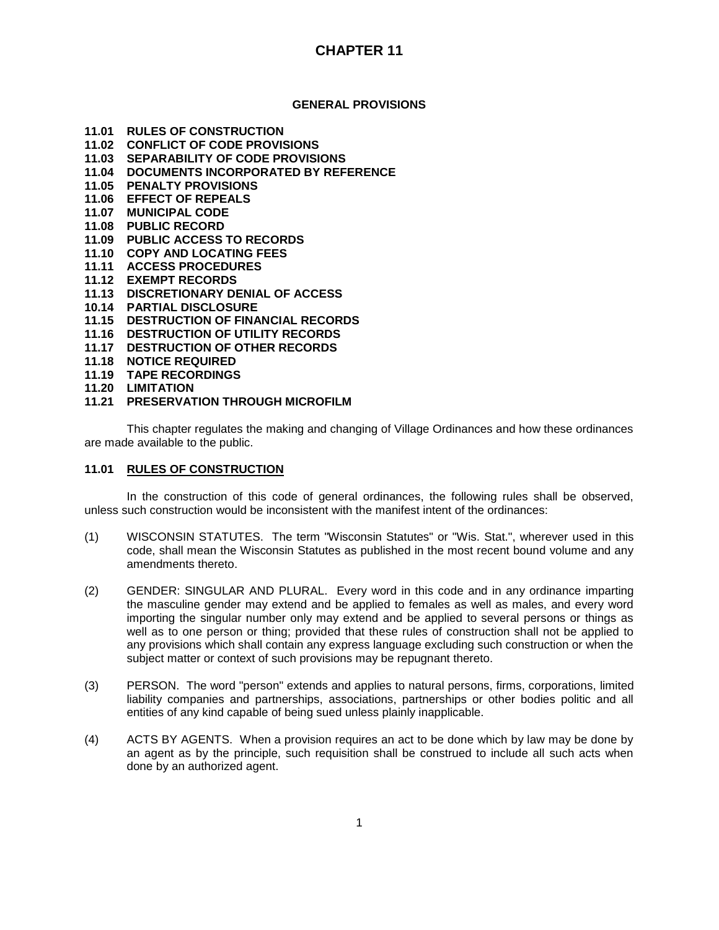## **GENERAL PROVISIONS**

- **11.01 RULES OF CONSTRUCTION**
- **11.02 CONFLICT OF CODE PROVISIONS**
- **11.03 SEPARABILITY OF CODE PROVISIONS**
- **11.04 DOCUMENTS INCORPORATED BY REFERENCE**
- **11.05 PENALTY PROVISIONS**
- **11.06 EFFECT OF REPEALS**
- **11.07 MUNICIPAL CODE**
- **11.08 PUBLIC RECORD**
- **11.09 PUBLIC ACCESS TO RECORDS**
- **11.10 COPY AND LOCATING FEES**
- **11.11 ACCESS PROCEDURES**
- **11.12 EXEMPT RECORDS**
- **11.13 DISCRETIONARY DENIAL OF ACCESS**
- **10.14 PARTIAL DISCLOSURE**
- **11.15 DESTRUCTION OF FINANCIAL RECORDS**
- **11.16 DESTRUCTION OF UTILITY RECORDS**
- **11.17 DESTRUCTION OF OTHER RECORDS**
- **11.18 NOTICE REQUIRED**
- **11.19 TAPE RECORDINGS**
- **11.20 LIMITATION**
- **11.21 PRESERVATION THROUGH MICROFILM**

This chapter regulates the making and changing of Village Ordinances and how these ordinances are made available to the public.

## **11.01 RULES OF CONSTRUCTION**

In the construction of this code of general ordinances, the following rules shall be observed, unless such construction would be inconsistent with the manifest intent of the ordinances:

- (1) WISCONSIN STATUTES. The term "Wisconsin Statutes" or "Wis. Stat.", wherever used in this code, shall mean the Wisconsin Statutes as published in the most recent bound volume and any amendments thereto.
- (2) GENDER: SINGULAR AND PLURAL. Every word in this code and in any ordinance imparting the masculine gender may extend and be applied to females as well as males, and every word importing the singular number only may extend and be applied to several persons or things as well as to one person or thing; provided that these rules of construction shall not be applied to any provisions which shall contain any express language excluding such construction or when the subject matter or context of such provisions may be repugnant thereto.
- (3) PERSON. The word "person" extends and applies to natural persons, firms, corporations, limited liability companies and partnerships, associations, partnerships or other bodies politic and all entities of any kind capable of being sued unless plainly inapplicable.
- (4) ACTS BY AGENTS. When a provision requires an act to be done which by law may be done by an agent as by the principle, such requisition shall be construed to include all such acts when done by an authorized agent.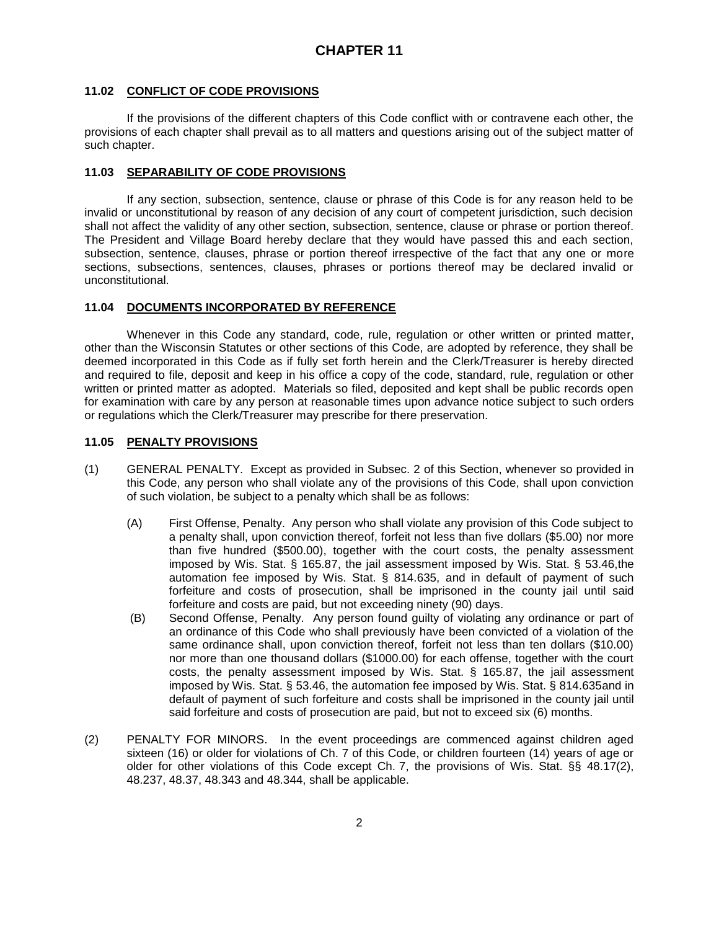#### **11.02 CONFLICT OF CODE PROVISIONS**

If the provisions of the different chapters of this Code conflict with or contravene each other, the provisions of each chapter shall prevail as to all matters and questions arising out of the subject matter of such chapter.

#### **11.03 SEPARABILITY OF CODE PROVISIONS**

If any section, subsection, sentence, clause or phrase of this Code is for any reason held to be invalid or unconstitutional by reason of any decision of any court of competent jurisdiction, such decision shall not affect the validity of any other section, subsection, sentence, clause or phrase or portion thereof. The President and Village Board hereby declare that they would have passed this and each section, subsection, sentence, clauses, phrase or portion thereof irrespective of the fact that any one or more sections, subsections, sentences, clauses, phrases or portions thereof may be declared invalid or unconstitutional.

#### **11.04 DOCUMENTS INCORPORATED BY REFERENCE**

Whenever in this Code any standard, code, rule, regulation or other written or printed matter, other than the Wisconsin Statutes or other sections of this Code, are adopted by reference, they shall be deemed incorporated in this Code as if fully set forth herein and the Clerk/Treasurer is hereby directed and required to file, deposit and keep in his office a copy of the code, standard, rule, regulation or other written or printed matter as adopted. Materials so filed, deposited and kept shall be public records open for examination with care by any person at reasonable times upon advance notice subject to such orders or regulations which the Clerk/Treasurer may prescribe for there preservation.

#### **11.05 PENALTY PROVISIONS**

- (1) GENERAL PENALTY. Except as provided in Subsec. 2 of this Section, whenever so provided in this Code, any person who shall violate any of the provisions of this Code, shall upon conviction of such violation, be subject to a penalty which shall be as follows:
	- (A) First Offense, Penalty. Any person who shall violate any provision of this Code subject to a penalty shall, upon conviction thereof, forfeit not less than five dollars (\$5.00) nor more than five hundred (\$500.00), together with the court costs, the penalty assessment imposed by Wis. Stat. § 165.87, the jail assessment imposed by Wis. Stat. § 53.46,the automation fee imposed by Wis. Stat. § 814.635, and in default of payment of such forfeiture and costs of prosecution, shall be imprisoned in the county jail until said forfeiture and costs are paid, but not exceeding ninety (90) days.
	- (B) Second Offense, Penalty. Any person found guilty of violating any ordinance or part of an ordinance of this Code who shall previously have been convicted of a violation of the same ordinance shall, upon conviction thereof, forfeit not less than ten dollars (\$10.00) nor more than one thousand dollars (\$1000.00) for each offense, together with the court costs, the penalty assessment imposed by Wis. Stat. § 165.87, the jail assessment imposed by Wis. Stat. § 53.46, the automation fee imposed by Wis. Stat. § 814.635and in default of payment of such forfeiture and costs shall be imprisoned in the county jail until said forfeiture and costs of prosecution are paid, but not to exceed six (6) months.
- (2) PENALTY FOR MINORS. In the event proceedings are commenced against children aged sixteen (16) or older for violations of Ch. 7 of this Code, or children fourteen (14) years of age or older for other violations of this Code except Ch. 7, the provisions of Wis. Stat. §§ 48.17(2), 48.237, 48.37, 48.343 and 48.344, shall be applicable.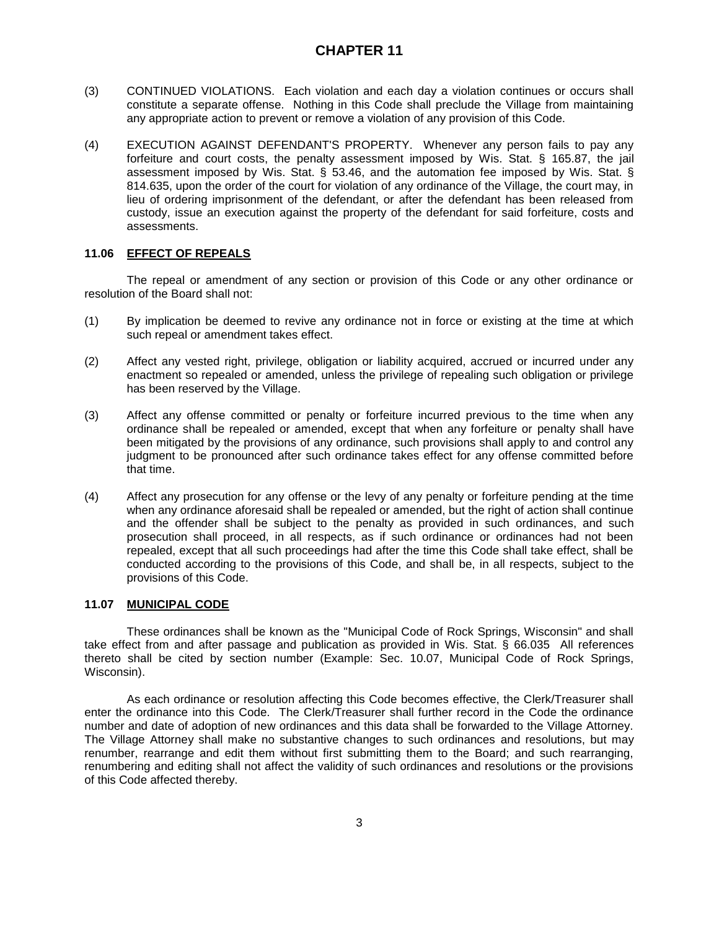## **CHAPTER 11**

- (3) CONTINUED VIOLATIONS. Each violation and each day a violation continues or occurs shall constitute a separate offense. Nothing in this Code shall preclude the Village from maintaining any appropriate action to prevent or remove a violation of any provision of this Code.
- (4) EXECUTION AGAINST DEFENDANT'S PROPERTY. Whenever any person fails to pay any forfeiture and court costs, the penalty assessment imposed by Wis. Stat. § 165.87, the jail assessment imposed by Wis. Stat. § 53.46, and the automation fee imposed by Wis. Stat. § 814.635, upon the order of the court for violation of any ordinance of the Village, the court may, in lieu of ordering imprisonment of the defendant, or after the defendant has been released from custody, issue an execution against the property of the defendant for said forfeiture, costs and assessments.

#### **11.06 EFFECT OF REPEALS**

The repeal or amendment of any section or provision of this Code or any other ordinance or resolution of the Board shall not:

- (1) By implication be deemed to revive any ordinance not in force or existing at the time at which such repeal or amendment takes effect.
- (2) Affect any vested right, privilege, obligation or liability acquired, accrued or incurred under any enactment so repealed or amended, unless the privilege of repealing such obligation or privilege has been reserved by the Village.
- (3) Affect any offense committed or penalty or forfeiture incurred previous to the time when any ordinance shall be repealed or amended, except that when any forfeiture or penalty shall have been mitigated by the provisions of any ordinance, such provisions shall apply to and control any judgment to be pronounced after such ordinance takes effect for any offense committed before that time.
- (4) Affect any prosecution for any offense or the levy of any penalty or forfeiture pending at the time when any ordinance aforesaid shall be repealed or amended, but the right of action shall continue and the offender shall be subject to the penalty as provided in such ordinances, and such prosecution shall proceed, in all respects, as if such ordinance or ordinances had not been repealed, except that all such proceedings had after the time this Code shall take effect, shall be conducted according to the provisions of this Code, and shall be, in all respects, subject to the provisions of this Code.

#### **11.07 MUNICIPAL CODE**

These ordinances shall be known as the "Municipal Code of Rock Springs, Wisconsin" and shall take effect from and after passage and publication as provided in Wis. Stat. § 66.035 All references thereto shall be cited by section number (Example: Sec. 10.07, Municipal Code of Rock Springs, Wisconsin).

As each ordinance or resolution affecting this Code becomes effective, the Clerk/Treasurer shall enter the ordinance into this Code. The Clerk/Treasurer shall further record in the Code the ordinance number and date of adoption of new ordinances and this data shall be forwarded to the Village Attorney. The Village Attorney shall make no substantive changes to such ordinances and resolutions, but may renumber, rearrange and edit them without first submitting them to the Board; and such rearranging, renumbering and editing shall not affect the validity of such ordinances and resolutions or the provisions of this Code affected thereby.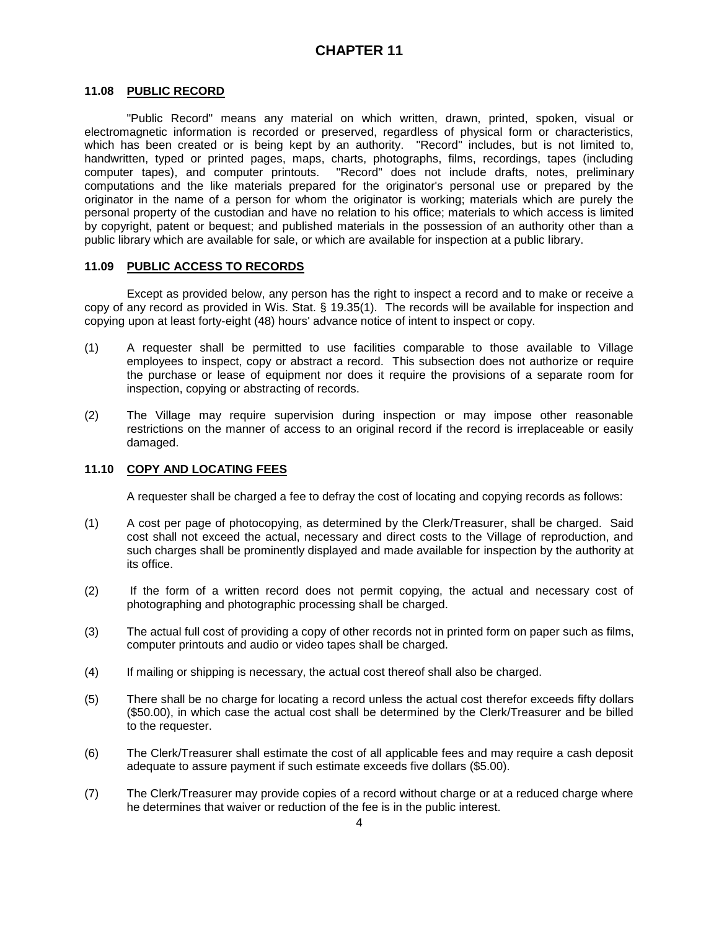#### **11.08 PUBLIC RECORD**

"Public Record" means any material on which written, drawn, printed, spoken, visual or electromagnetic information is recorded or preserved, regardless of physical form or characteristics, which has been created or is being kept by an authority. "Record" includes, but is not limited to, handwritten, typed or printed pages, maps, charts, photographs, films, recordings, tapes (including computer tapes), and computer printouts. "Record" does not include drafts, notes, preliminary computations and the like materials prepared for the originator's personal use or prepared by the originator in the name of a person for whom the originator is working; materials which are purely the personal property of the custodian and have no relation to his office; materials to which access is limited by copyright, patent or bequest; and published materials in the possession of an authority other than a public library which are available for sale, or which are available for inspection at a public library.

#### **11.09 PUBLIC ACCESS TO RECORDS**

Except as provided below, any person has the right to inspect a record and to make or receive a copy of any record as provided in Wis. Stat. § 19.35(1). The records will be available for inspection and copying upon at least forty-eight (48) hours' advance notice of intent to inspect or copy.

- (1) A requester shall be permitted to use facilities comparable to those available to Village employees to inspect, copy or abstract a record. This subsection does not authorize or require the purchase or lease of equipment nor does it require the provisions of a separate room for inspection, copying or abstracting of records.
- (2) The Village may require supervision during inspection or may impose other reasonable restrictions on the manner of access to an original record if the record is irreplaceable or easily damaged.

#### **11.10 COPY AND LOCATING FEES**

A requester shall be charged a fee to defray the cost of locating and copying records as follows:

- (1) A cost per page of photocopying, as determined by the Clerk/Treasurer, shall be charged. Said cost shall not exceed the actual, necessary and direct costs to the Village of reproduction, and such charges shall be prominently displayed and made available for inspection by the authority at its office.
- (2) If the form of a written record does not permit copying, the actual and necessary cost of photographing and photographic processing shall be charged.
- (3) The actual full cost of providing a copy of other records not in printed form on paper such as films, computer printouts and audio or video tapes shall be charged.
- (4) If mailing or shipping is necessary, the actual cost thereof shall also be charged.
- (5) There shall be no charge for locating a record unless the actual cost therefor exceeds fifty dollars (\$50.00), in which case the actual cost shall be determined by the Clerk/Treasurer and be billed to the requester.
- (6) The Clerk/Treasurer shall estimate the cost of all applicable fees and may require a cash deposit adequate to assure payment if such estimate exceeds five dollars (\$5.00).
- (7) The Clerk/Treasurer may provide copies of a record without charge or at a reduced charge where he determines that waiver or reduction of the fee is in the public interest.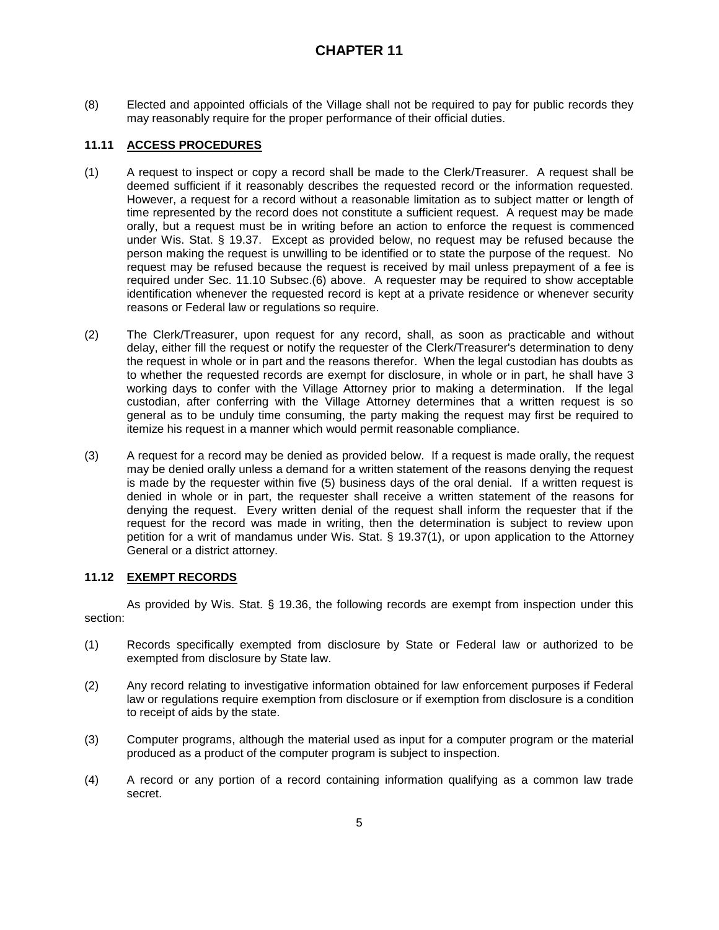# **CHAPTER 11**

(8) Elected and appointed officials of the Village shall not be required to pay for public records they may reasonably require for the proper performance of their official duties.

## **11.11 ACCESS PROCEDURES**

- (1) A request to inspect or copy a record shall be made to the Clerk/Treasurer. A request shall be deemed sufficient if it reasonably describes the requested record or the information requested. However, a request for a record without a reasonable limitation as to subject matter or length of time represented by the record does not constitute a sufficient request. A request may be made orally, but a request must be in writing before an action to enforce the request is commenced under Wis. Stat. § 19.37. Except as provided below, no request may be refused because the person making the request is unwilling to be identified or to state the purpose of the request. No request may be refused because the request is received by mail unless prepayment of a fee is required under Sec. 11.10 Subsec.(6) above. A requester may be required to show acceptable identification whenever the requested record is kept at a private residence or whenever security reasons or Federal law or regulations so require.
- (2) The Clerk/Treasurer, upon request for any record, shall, as soon as practicable and without delay, either fill the request or notify the requester of the Clerk/Treasurer's determination to deny the request in whole or in part and the reasons therefor. When the legal custodian has doubts as to whether the requested records are exempt for disclosure, in whole or in part, he shall have 3 working days to confer with the Village Attorney prior to making a determination. If the legal custodian, after conferring with the Village Attorney determines that a written request is so general as to be unduly time consuming, the party making the request may first be required to itemize his request in a manner which would permit reasonable compliance.
- (3) A request for a record may be denied as provided below. If a request is made orally, the request may be denied orally unless a demand for a written statement of the reasons denying the request is made by the requester within five (5) business days of the oral denial. If a written request is denied in whole or in part, the requester shall receive a written statement of the reasons for denying the request. Every written denial of the request shall inform the requester that if the request for the record was made in writing, then the determination is subject to review upon petition for a writ of mandamus under Wis. Stat. § 19.37(1), or upon application to the Attorney General or a district attorney.

## **11.12 EXEMPT RECORDS**

As provided by Wis. Stat. § 19.36, the following records are exempt from inspection under this section:

- (1) Records specifically exempted from disclosure by State or Federal law or authorized to be exempted from disclosure by State law.
- (2) Any record relating to investigative information obtained for law enforcement purposes if Federal law or regulations require exemption from disclosure or if exemption from disclosure is a condition to receipt of aids by the state.
- (3) Computer programs, although the material used as input for a computer program or the material produced as a product of the computer program is subject to inspection.
- (4) A record or any portion of a record containing information qualifying as a common law trade secret.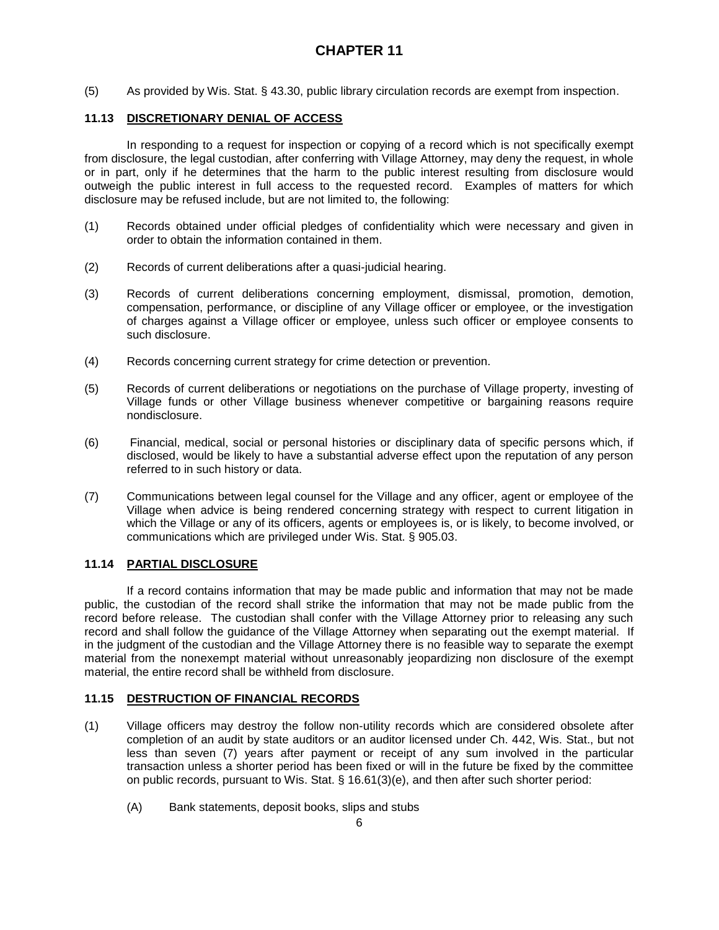(5) As provided by Wis. Stat. § 43.30, public library circulation records are exempt from inspection.

## **11.13 DISCRETIONARY DENIAL OF ACCESS**

In responding to a request for inspection or copying of a record which is not specifically exempt from disclosure, the legal custodian, after conferring with Village Attorney, may deny the request, in whole or in part, only if he determines that the harm to the public interest resulting from disclosure would outweigh the public interest in full access to the requested record. Examples of matters for which disclosure may be refused include, but are not limited to, the following:

- (1) Records obtained under official pledges of confidentiality which were necessary and given in order to obtain the information contained in them.
- (2) Records of current deliberations after a quasi-judicial hearing.
- (3) Records of current deliberations concerning employment, dismissal, promotion, demotion, compensation, performance, or discipline of any Village officer or employee, or the investigation of charges against a Village officer or employee, unless such officer or employee consents to such disclosure.
- (4) Records concerning current strategy for crime detection or prevention.
- (5) Records of current deliberations or negotiations on the purchase of Village property, investing of Village funds or other Village business whenever competitive or bargaining reasons require nondisclosure.
- (6) Financial, medical, social or personal histories or disciplinary data of specific persons which, if disclosed, would be likely to have a substantial adverse effect upon the reputation of any person referred to in such history or data.
- (7) Communications between legal counsel for the Village and any officer, agent or employee of the Village when advice is being rendered concerning strategy with respect to current litigation in which the Village or any of its officers, agents or employees is, or is likely, to become involved, or communications which are privileged under Wis. Stat. § 905.03.

## **11.14 PARTIAL DISCLOSURE**

If a record contains information that may be made public and information that may not be made public, the custodian of the record shall strike the information that may not be made public from the record before release. The custodian shall confer with the Village Attorney prior to releasing any such record and shall follow the guidance of the Village Attorney when separating out the exempt material. If in the judgment of the custodian and the Village Attorney there is no feasible way to separate the exempt material from the nonexempt material without unreasonably jeopardizing non disclosure of the exempt material, the entire record shall be withheld from disclosure.

## **11.15 DESTRUCTION OF FINANCIAL RECORDS**

- (1) Village officers may destroy the follow non-utility records which are considered obsolete after completion of an audit by state auditors or an auditor licensed under Ch. 442, Wis. Stat., but not less than seven (7) years after payment or receipt of any sum involved in the particular transaction unless a shorter period has been fixed or will in the future be fixed by the committee on public records, pursuant to Wis. Stat. § 16.61(3)(e), and then after such shorter period:
	- (A) Bank statements, deposit books, slips and stubs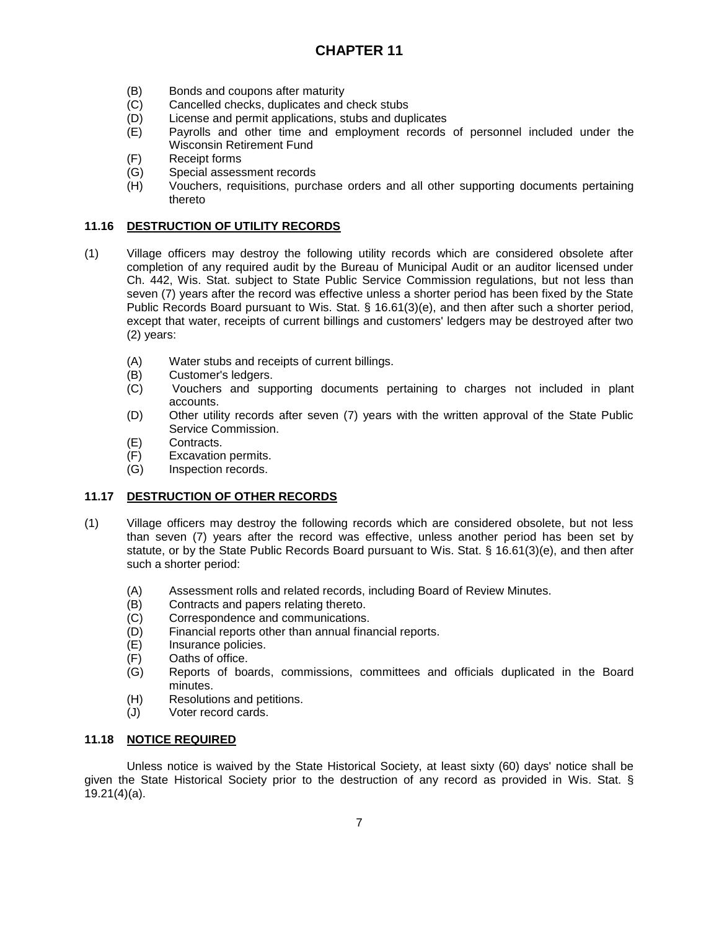- (B) Bonds and coupons after maturity
- (C) Cancelled checks, duplicates and check stubs
- (D) License and permit applications, stubs and duplicates
- (E) Payrolls and other time and employment records of personnel included under the Wisconsin Retirement Fund
- (F) Receipt forms
- (G) Special assessment records
- (H) Vouchers, requisitions, purchase orders and all other supporting documents pertaining thereto

## **11.16 DESTRUCTION OF UTILITY RECORDS**

- (1) Village officers may destroy the following utility records which are considered obsolete after completion of any required audit by the Bureau of Municipal Audit or an auditor licensed under Ch. 442, Wis. Stat. subject to State Public Service Commission regulations, but not less than seven (7) years after the record was effective unless a shorter period has been fixed by the State Public Records Board pursuant to Wis. Stat. § 16.61(3)(e), and then after such a shorter period, except that water, receipts of current billings and customers' ledgers may be destroyed after two (2) years:
	- (A) Water stubs and receipts of current billings.
	- (B) Customer's ledgers.
	- (C) Vouchers and supporting documents pertaining to charges not included in plant accounts.
	- (D) Other utility records after seven (7) years with the written approval of the State Public Service Commission.
	- (E) Contracts.
	- (F) Excavation permits.
	- (G) Inspection records.

## **11.17 DESTRUCTION OF OTHER RECORDS**

- (1) Village officers may destroy the following records which are considered obsolete, but not less than seven (7) years after the record was effective, unless another period has been set by statute, or by the State Public Records Board pursuant to Wis. Stat. § 16.61(3)(e), and then after such a shorter period:
	- (A) Assessment rolls and related records, including Board of Review Minutes.
	- (B) Contracts and papers relating thereto.
	- (C) Correspondence and communications.
	- (D) Financial reports other than annual financial reports.
	- (E) Insurance policies.
	- (F) Oaths of office.
	- (G) Reports of boards, commissions, committees and officials duplicated in the Board minutes.
	- (H) Resolutions and petitions.
	- (J) Voter record cards.

## **11.18 NOTICE REQUIRED**

Unless notice is waived by the State Historical Society, at least sixty (60) days' notice shall be given the State Historical Society prior to the destruction of any record as provided in Wis. Stat. § 19.21(4)(a).